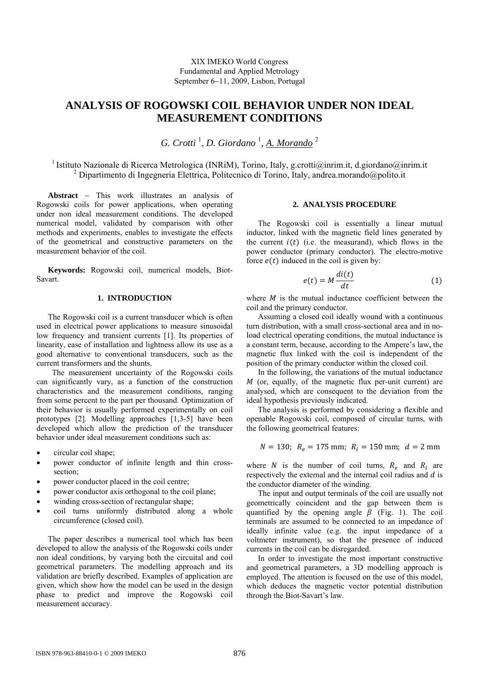# **ANALYSIS OF ROGOWSKI COIL BEHAVIOR UNDER NON IDEAL MEASUREMENT CONDITIONS**

*G. Crotti* <sup>1</sup> , *D. Giordano* <sup>1</sup> *, A. Morando* <sup>2</sup>

<sup>1</sup> Istituto Nazionale di Ricerca Metrologica (INRiM), Torino, Italy, g.crotti@inrim.it, d.giordano@inrim.it 2 Dipartimento di Ingegneria Elettrica, Politecnico di Torino, Italy, andrea.morando@polito.it

**Abstract** − This work illustrates an analysis of Rogowski coils for power applications, when operating under non ideal measurement conditions. The developed numerical model, validated by comparison with other methods and experiments, enables to investigate the effects of the geometrical and constructive parameters on the measurement behavior of the coil.

**Keywords:** Rogowski coil, numerical models, Biot-Savart.

## **1. INTRODUCTION**

The Rogowski coil is a current transducer which is often used in electrical power applications to measure sinusoidal low frequency and transient currents [1]. Its properties of linearity, ease of installation and lightness allow its use as a good alternative to conventional transducers, such as the current transformers and the shunts.

 The measurement uncertainty of the Rogowski coils can significantly vary, as a function of the construction characteristics and the measurement conditions, ranging from some percent to the part per thousand. Optimization of their behavior is usually performed experimentally on coil prototypes [2]. Modelling approaches [1,3-5] have been developed which allow the prediction of the transducer behavior under ideal measurement conditions such as:

- circular coil shape;
- power conductor of infinite length and thin crosssection;
- power conductor placed in the coil centre;
- power conductor axis orthogonal to the coil plane;
- winding cross-section of rectangular shape;
- coil turns uniformly distributed along a whole circumference (closed coil).

The paper describes a numerical tool which has been developed to allow the analysis of the Rogowski coils under non ideal conditions, by varying both the circuital and coil geometrical parameters. The modelling approach and its validation are briefly described. Examples of application are given, which show how the model can be used in the design phase to predict and improve the Rogowski coil measurement accuracy.

## **2. ANALYSIS PROCEDURE**

The Rogowski coil is essentially a linear mutual inductor, linked with the magnetic field lines generated by the current  $i(t)$  (i.e. the measurand), which flows in the power conductor (primary conductor). The electro-motive force  $e(t)$  induced in the coil is given by:

$$
e(t) = M \frac{di(t)}{dt}
$$
 (1)

where  $M$  is the mutual inductance coefficient between the coil and the primary conductor.

Assuming a closed coil ideally wound with a continuous turn distribution, with a small cross-sectional area and in noload electrical operating conditions, the mutual inductance is a constant term, because, according to the Ampere's law, the magnetic flux linked with the coil is independent of the position of the primary conductor within the closed coil.

In the following, the variations of the mutual inductance  $M$  (or, equally, of the magnetic flux per-unit current) are analysed, which are consequent to the deviation from the ideal hypothesis previously indicated.

The analysis is performed by considering a flexible and openable Rogowski coil, composed of circular turns, with the following geometrical features:

$$
N = 130; R_e = 175 \text{ mm}; R_i = 150 \text{ mm}; d = 2 \text{ mm}
$$

where  $N$  is the number of coil turns,  $R_e$  and  $R_i$  are respectively the external and the internal coil radius and  $d$  is the conductor diameter of the winding.

The input and output terminals of the coil are usually not geometrically coincident and the gap between them is quantified by the opening angle  $\beta$  (Fig. 1). The coil terminals are assumed to be connected to an impedance of ideally infinite value (e.g. the input impedance of a voltmeter instrument), so that the presence of induced currents in the coil can be disregarded.

In order to investigate the most important constructive and geometrical parameters, a 3D modelling approach is employed. The attention is focused on the use of this model, which deduces the magnetic vector potential distribution through the Biot-Savart's law.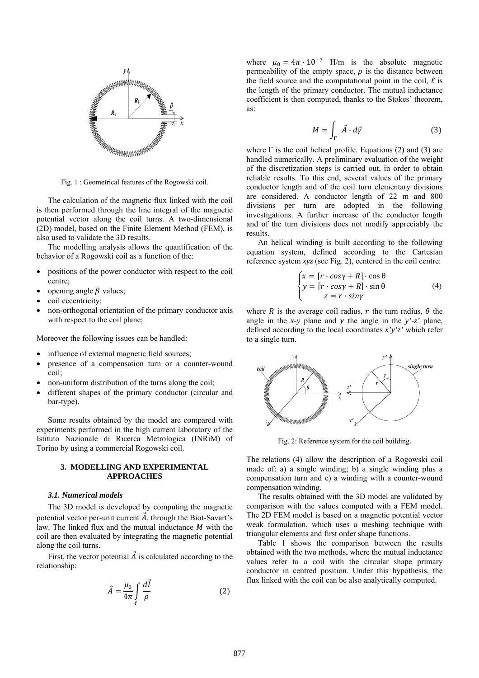

Fig. 1 : Geometrical features of the Rogowski coil.

The calculation of the magnetic flux linked with the coil is then performed through the line integral of the magnetic potential vector along the coil turns. A two-dimensional (2D) model, based on the Finite Element Method (FEM), is also used to validate the 3D results.

The modelling analysis allows the quantification of the behavior of a Rogowski coil as a function of the:

- positions of the power conductor with respect to the coil centre;
- opening angle  $\beta$  values;
- coil eccentricity:
- non-orthogonal orientation of the primary conductor axis with respect to the coil plane;

Moreover the following issues can be handled:

- influence of external magnetic field sources;
- presence of a compensation turn or a counter-wound coil;
- non-uniform distribution of the turns along the coil;
- different shapes of the primary conductor (circular and bar-type).

Some results obtained by the model are compared with experiments performed in the high current laboratory of the Istituto Nazionale di Ricerca Metrologica (INRiM) of Torino by using a commercial Rogowski coil.

# **3. MODELLING AND EXPERIMENTAL APPROACHES**

### *3.1. Numerical models*

The 3D model is developed by computing the magnetic potential vector per-unit current  $\vec{A}$ , through the Biot-Savart's law. The linked flux and the mutual inductance  $M$  with the coil are then evaluated by integrating the magnetic potential along the coil turns.

First, the vector potential  $\vec{A}$  is calculated according to the relationship:

$$
\vec{A} = \frac{\mu_0}{4\pi} \int\limits_{\ell} \frac{d\vec{l}}{\rho} \tag{2}
$$

where  $\mu_0 = 4\pi \cdot 10^{-7}$  H/m is the absolute magnetic permeability of the empty space,  $\rho$  is the distance between the field source and the computational point in the coil,  $\ell$  is the length of the primary conductor. The mutual inductance coefficient is then computed, thanks to the Stokes' theorem, as:

$$
M = \int_{\Gamma} \vec{A} \cdot d\vec{\gamma} \tag{3}
$$

where  $\Gamma$  is the coil helical profile. Equations (2) and (3) are handled numerically. A preliminary evaluation of the weight of the discretization steps is carried out, in order to obtain reliable results. To this end, several values of the primary conductor length and of the coil turn elementary divisions are considered. A conductor length of 22 m and 800 divisions per turn are adopted in the following investigations. A further increase of the conductor length and of the turn divisions does not modify appreciably the results.

An helical winding is built according to the following equation system, defined according to the Cartesian reference system *xyz* (see Fig. 2), centered in the coil centre:

$$
\begin{cases}\nx = [r \cdot cos\gamma + R] \cdot cos\theta \\
y = [r \cdot cos\gamma + R] \cdot sin\theta \\
z = r \cdot sin\gamma\n\end{cases}
$$
\n(4)

where R is the average coil radius, r the turn radius,  $\theta$  the angle in the *x*-*y* plane and  $\gamma$  the angle in the *y'*-*z'* plane, defined according to the local coordinates *x'y'z'* which refer to a single turn.



Fig. 2: Reference system for the coil building.

The relations (4) allow the description of a Rogowski coil made of: a) a single winding; b) a single winding plus a compensation turn and c) a winding with a counter-wound compensation winding.

The results obtained with the 3D model are validated by comparison with the values computed with a FEM model. The 2D FEM model is based on a magnetic potential vector weak formulation, which uses a meshing technique with triangular elements and first order shape functions.

Table 1 shows the comparison between the results obtained with the two methods, where the mutual inductance values refer to a coil with the circular shape primary conductor in centred position. Under this hypothesis, the flux linked with the coil can be also analytically computed.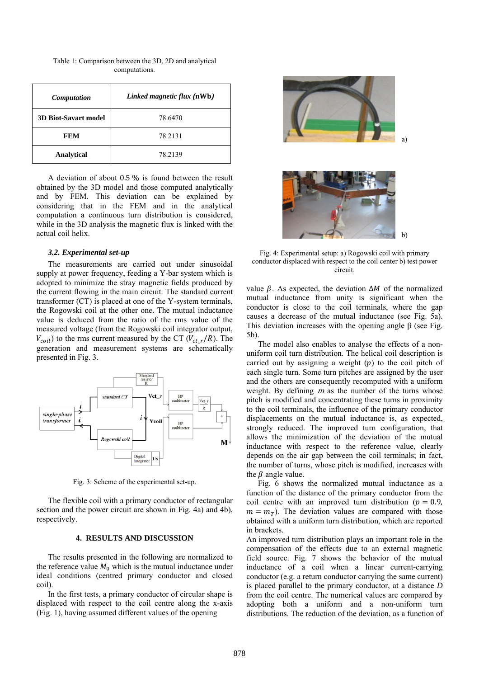| <b>Computation</b>          | Linked magnetic flux (nWb) |  |
|-----------------------------|----------------------------|--|
| <b>3D Biot-Savart model</b> | 78.6470                    |  |
| FEM                         | 78.2131                    |  |
| <b>Analytical</b>           | 78.2139                    |  |

Table 1: Comparison between the 3D, 2D and analytical computations.

A deviation of about 0.5 % is found between the result obtained by the 3D model and those computed analytically and by FEM. This deviation can be explained by considering that in the FEM and in the analytical computation a continuous turn distribution is considered, while in the 3D analysis the magnetic flux is linked with the actual coil helix.

## *3.2. Experimental set-up*

The measurements are carried out under sinusoidal supply at power frequency, feeding a Y-bar system which is adopted to minimize the stray magnetic fields produced by the current flowing in the main circuit. The standard current transformer (CT) is placed at one of the Y-system terminals, the Rogowski coil at the other one. The mutual inductance value is deduced from the ratio of the rms value of the measured voltage (from the Rogowski coil integrator output,  $V_{coil}$ ) to the rms current measured by the CT ( $V_{ct}$   $_r/R$ ). The generation and measurement systems are schematically presented in Fig. 3.



Fig. 3: Scheme of the experimental set-up.

The flexible coil with a primary conductor of rectangular section and the power circuit are shown in Fig. 4a) and 4b), respectively.

## **4. RESULTS AND DISCUSSION**

The results presented in the following are normalized to the reference value  $M_0$  which is the mutual inductance under ideal conditions (centred primary conductor and closed coil).

In the first tests, a primary conductor of circular shape is displaced with respect to the coil centre along the x-axis (Fig. 1), having assumed different values of the opening



Fig. 4: Experimental setup: a) Rogowski coil with primary conductor displaced with respect to the coil center b) test power circuit.

value  $\beta$ . As expected, the deviation  $\Delta M$  of the normalized mutual inductance from unity is significant when the conductor is close to the coil terminals, where the gap causes a decrease of the mutual inductance (see Fig. 5a). This deviation increases with the opening angle β (see Fig. 5b).

The model also enables to analyse the effects of a nonuniform coil turn distribution. The helical coil description is carried out by assigning a weight  $(p)$  to the coil pitch of each single turn. Some turn pitches are assigned by the user and the others are consequently recomputed with a uniform weight. By defining  $m$  as the number of the turns whose pitch is modified and concentrating these turns in proximity to the coil terminals, the influence of the primary conductor displacements on the mutual inductance is, as expected, strongly reduced. The improved turn configuration, that allows the minimization of the deviation of the mutual inductance with respect to the reference value, clearly depends on the air gap between the coil terminals; in fact, the number of turns, whose pitch is modified, increases with the  $\beta$  angle value.

Fig. 6 shows the normalized mutual inductance as a function of the distance of the primary conductor from the coil centre with an improved turn distribution ( $p = 0.9$ ,  $m = m<sub>T</sub>$ ). The deviation values are compared with those obtained with a uniform turn distribution, which are reported in brackets.

An improved turn distribution plays an important role in the compensation of the effects due to an external magnetic field source. Fig. 7 shows the behavior of the mutual inductance of a coil when a linear current-carrying conductor (e.g. a return conductor carrying the same current) is placed parallel to the primary conductor, at a distance *D* from the coil centre. The numerical values are compared by adopting both a uniform and a non-uniform turn distributions. The reduction of the deviation, as a function of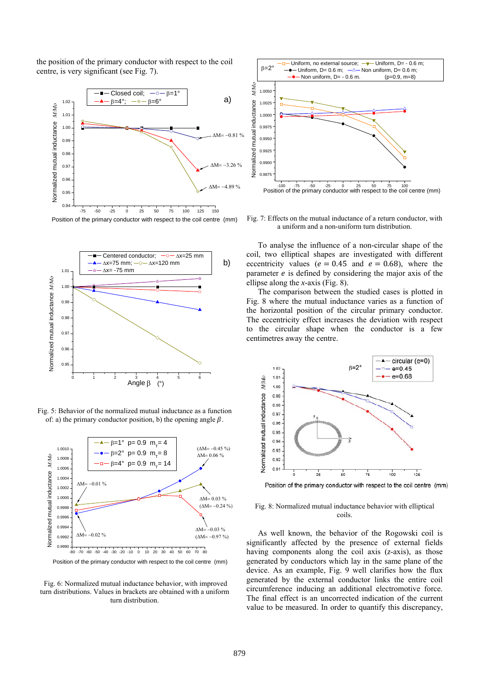the position of the primary conductor with respect to the coil centre, is very significant (see Fig. 7).



Position of the primary conductor with respect to the coil centre (mm)



Fig. 5: Behavior of the normalized mutual inductance as a function of: a) the primary conductor position, b) the opening angle  $\beta$ .



 Fig. 6: Normalized mutual inductance behavior, with improved turn distributions. Values in brackets are obtained with a uniform turn distribution.



Fig. 7: Effects on the mutual inductance of a return conductor, with a uniform and a non-uniform turn distribution.

To analyse the influence of a non-circular shape of the coil, two elliptical shapes are investigated with different eccentricity values ( $e = 0.45$  and  $e = 0.68$ ), where the parameter  $e$  is defined by considering the major axis of the ellipse along the *x-*axis (Fig. 8).

The comparison between the studied cases is plotted in Fig. 8 where the mutual inductance varies as a function of the horizontal position of the circular primary conductor. The eccentricity effect increases the deviation with respect to the circular shape when the conductor is a few centimetres away the centre.



Position of the primary conductor with respect to the coil centre (mm)

## Fig. 8: Normalized mutual inductance behavior with elliptical coils.

As well known, the behavior of the Rogowski coil is significantly affected by the presence of external fields having components along the coil axis (*z*-axis), as those generated by conductors which lay in the same plane of the device. As an example, Fig. 9 well clarifies how the flux generated by the external conductor links the entire coil circumference inducing an additional electromotive force. The final effect is an uncorrected indication of the current value to be measured. In order to quantify this discrepancy,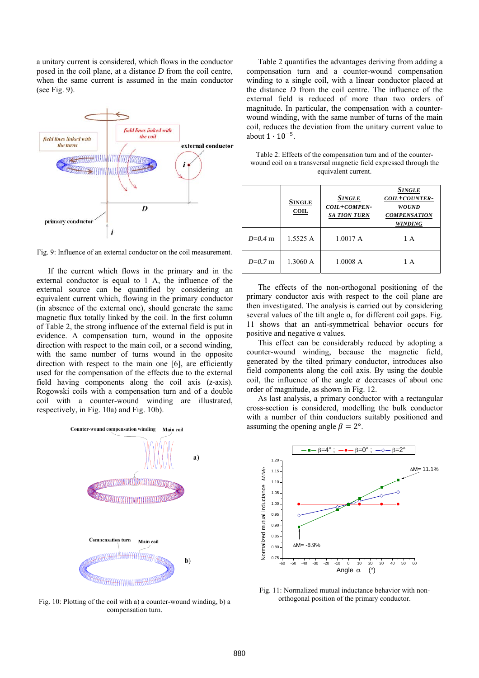a unitary current is considered, which flows in the conductor posed in the coil plane, at a distance *D* from the coil centre, when the same current is assumed in the main conductor (see Fig. 9).



Fig. 9: Influence of an external conductor on the coil measurement.

If the current which flows in the primary and in the external conductor is equal to 1 A, the influence of the external source can be quantified by considering an equivalent current which, flowing in the primary conductor (in absence of the external one), should generate the same magnetic flux totally linked by the coil. In the first column of Table 2, the strong influence of the external field is put in evidence. A compensation turn, wound in the opposite direction with respect to the main coil, or a second winding, with the same number of turns wound in the opposite direction with respect to the main one [6], are efficiently used for the compensation of the effects due to the external field having components along the coil axis (*z*-axis). Rogowski coils with a compensation turn and of a double coil with a counter-wound winding are illustrated, respectively, in Fig. 10a) and Fig. 10b).



Fig. 10: Plotting of the coil with a) a counter-wound winding, b) a compensation turn.

Table 2 quantifies the advantages deriving from adding a compensation turn and a counter-wound compensation winding to a single coil, with a linear conductor placed at the distance *D* from the coil centre. The influence of the external field is reduced of more than two orders of magnitude. In particular, the compensation with a counterwound winding, with the same number of turns of the main coil, reduces the deviation from the unitary current value to about  $1 \cdot 10^{-5}$ .

Table 2: Effects of the compensation turn and of the counterwound coil on a transversal magnetic field expressed through the equivalent current.

|           | <b>SINGLE</b><br>COL | Single<br>COIL+COMPEN-<br><b>SA TION TURN</b> | <b>SINGLE</b><br>COIL+COUNTER-<br><b>WOUND</b><br><b>COMPENSATION</b><br><b>WINDING</b> |
|-----------|----------------------|-----------------------------------------------|-----------------------------------------------------------------------------------------|
| $D=0.4$ m | 1.5525A              | 1.0017A                                       | 1 A                                                                                     |
| $D=0.7$ m | 1.3060 A             | 1.0008A                                       | 1 A                                                                                     |

The effects of the non-orthogonal positioning of the primary conductor axis with respect to the coil plane are then investigated. The analysis is carried out by considering several values of the tilt angle  $\alpha$ , for different coil gaps. Fig. 11 shows that an anti-symmetrical behavior occurs for positive and negative α values.

This effect can be considerably reduced by adopting a counter-wound winding, because the magnetic field, generated by the tilted primary conductor, introduces also field components along the coil axis. By using the double coil, the influence of the angle  $\alpha$  decreases of about one order of magnitude, as shown in Fig. 12.

As last analysis, a primary conductor with a rectangular cross-section is considered, modelling the bulk conductor with a number of thin conductors suitably positioned and assuming the opening angle  $\beta = 2^{\circ}$ .



Fig. 11: Normalized mutual inductance behavior with nonorthogonal position of the primary conductor.